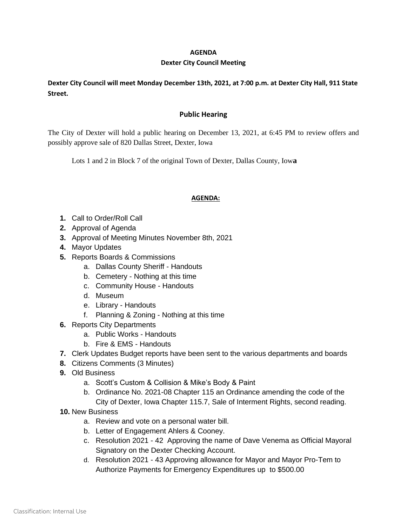## **AGENDA**

## **Dexter City Council Meeting**

# **Dexter City Council will meet Monday December 13th, 2021, at 7:00 p.m. at Dexter City Hall, 911 State Street.**

## **Public Hearing**

The City of Dexter will hold a public hearing on December 13, 2021, at 6:45 PM to review offers and possibly approve sale of 820 Dallas Street, Dexter, Iowa

Lots 1 and 2 in Block 7 of the original Town of Dexter, Dallas County, Iow**a**

#### **AGENDA:**

- **1.** Call to Order/Roll Call
- **2.** Approval of Agenda
- **3.** Approval of Meeting Minutes November 8th, 2021
- **4.** Mayor Updates
- **5.** Reports Boards & Commissions
	- a. Dallas County Sheriff Handouts
	- b. Cemetery Nothing at this time
	- c. Community House Handouts
	- d. Museum
	- e. Library Handouts
	- f. Planning & Zoning Nothing at this time
- **6.** Reports City Departments
	- a. Public Works Handouts
	- b. Fire & EMS Handouts
- **7.** Clerk Updates Budget reports have been sent to the various departments and boards
- **8.** Citizens Comments (3 Minutes)
- **9.** Old Business
	- a. Scott's Custom & Collision & Mike's Body & Paint
	- b. Ordinance No. 2021-08 Chapter 115 an Ordinance amending the code of the City of Dexter, Iowa Chapter 115.7, Sale of Interment Rights, second reading.
- **10.** New Business
	- a. Review and vote on a personal water bill.
	- b. Letter of Engagement Ahlers & Cooney.
	- c. Resolution 2021 42 Approving the name of Dave Venema as Official Mayoral Signatory on the Dexter Checking Account.
	- d. Resolution 2021 43 Approving allowance for Mayor and Mayor Pro-Tem to Authorize Payments for Emergency Expenditures up to \$500.00